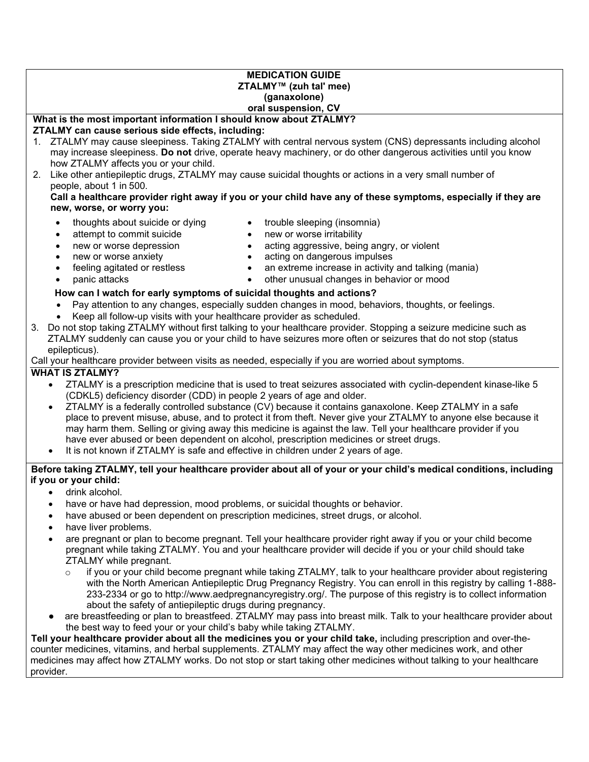#### **MEDICATION GUIDE ZTALMY™ (zuh tal' mee) (ganaxolone) oral suspension, CV**

# **What is the most important information I should know about ZTALMY?**

#### **ZTALMY can cause serious side effects, including:**

- 1. ZTALMY may cause sleepiness. Taking ZTALMY with central nervous system (CNS) depressants including alcohol may increase sleepiness. **Do not** drive, operate heavy machinery, or do other dangerous activities until you know how ZTALMY affects you or your child.
- 2. Like other antiepileptic drugs, ZTALMY may cause suicidal thoughts or actions in a very small number of people, about 1 in 500.

**Call a healthcare provider right away if you or your child have any of these symptoms, especially if they are new, worse, or worry you:**

- thoughts about suicide or dying
- trouble sleeping (insomnia) • new or worse irritability
- attempt to commit suicide • new or worse depression
- new or worse anxiety
- feeling agitated or restless
- panic attacks
- acting on dangerous impulses
- an extreme increase in activity and talking (mania)
- other unusual changes in behavior or mood

acting aggressive, being angry, or violent

## **How can I watch for early symptoms of suicidal thoughts and actions?**

- Pay attention to any changes, especially sudden changes in mood, behaviors, thoughts, or feelings.
- Keep all follow-up visits with your healthcare provider as scheduled.
- 3. Do not stop taking ZTALMY without first talking to your healthcare provider. Stopping a seizure medicine such as ZTALMY suddenly can cause you or your child to have seizures more often or seizures that do not stop (status epilepticus).

#### Call your healthcare provider between visits as needed, especially if you are worried about symptoms.

# **WHAT IS ZTALMY?**

- ZTALMY is a prescription medicine that is used to treat seizures associated with cyclin-dependent kinase-like 5 (CDKL5) deficiency disorder (CDD) in people 2 years of age and older.
- ZTALMY is a federally controlled substance (CV) because it contains ganaxolone. Keep ZTALMY in a safe place to prevent misuse, abuse, and to protect it from theft. Never give your ZTALMY to anyone else because it may harm them. Selling or giving away this medicine is against the law. Tell your healthcare provider if you have ever abused or been dependent on alcohol, prescription medicines or street drugs.
- It is not known if ZTALMY is safe and effective in children under 2 years of age.

#### **Before taking ZTALMY, tell your healthcare provider about all of your or your child's medical conditions, including if you or your child:**

- drink alcohol.
- have or have had depression, mood problems, or suicidal thoughts or behavior.
- have abused or been dependent on prescription medicines, street drugs, or alcohol.
- have liver problems.
- are pregnant or plan to become pregnant. Tell your healthcare provider right away if you or your child become pregnant while taking ZTALMY. You and your healthcare provider will decide if you or your child should take ZTALMY while pregnant.
	- o if you or your child become pregnant while taking ZTALMY, talk to your healthcare provider about registering with the North American Antiepileptic Drug Pregnancy Registry. You can enroll in this registry by calling 1-888- 233-2334 or go to http://www.aedpregnancyregistry.org/. The purpose of this registry is to collect information about the safety of antiepileptic drugs during pregnancy.
- are breastfeeding or plan to breastfeed. ZTALMY may pass into breast milk. Talk to your healthcare provider about the best way to feed your or your child's baby while taking ZTALMY.

**Tell your healthcare provider about all the medicines you or your child take,** including prescription and over-thecounter medicines, vitamins, and herbal supplements. ZTALMY may affect the way other medicines work, and other medicines may affect how ZTALMY works. Do not stop or start taking other medicines without talking to your healthcare provider.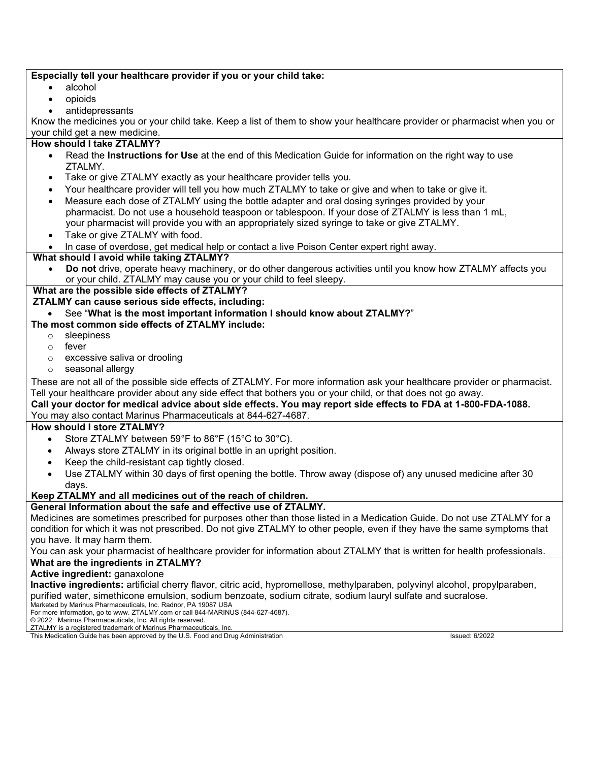#### **Especially tell your healthcare provider if you or your child take:**

- alcohol
- opioids
- antidepressants

Know the medicines you or your child take. Keep a list of them to show your healthcare provider or pharmacist when you or your child get a new medicine.

## **How should I take ZTALMY?**

- Read the **Instructions for Use** at the end of this Medication Guide for information on the right way to use ZTALMY.
- Take or give ZTALMY exactly as your healthcare provider tells you.
- Your healthcare provider will tell you how much ZTALMY to take or give and when to take or give it.
- Measure each dose of ZTALMY using the bottle adapter and oral dosing syringes provided by your pharmacist. Do not use a household teaspoon or tablespoon. If your dose of ZTALMY is less than 1 mL, your pharmacist will provide you with an appropriately sized syringe to take or give ZTALMY.
- Take or give ZTALMY with food.
- In case of overdose, get medical help or contact a live Poison Center expert right away.

#### **What should I avoid while taking ZTALMY?**

• **Do not** drive, operate heavy machinery, or do other dangerous activities until you know how ZTALMY affects you or your child. ZTALMY may cause you or your child to feel sleepy.

# **What are the possible side effects of ZTALMY?**

**ZTALMY can cause serious side effects, including:**

#### • See "**What is the most important information I should know about ZTALMY?**"

#### **The most common side effects of ZTALMY include:**

- o sleepiness
- o fever
- o excessive saliva or drooling
- o seasonal allergy

These are not all of the possible side effects of ZTALMY. For more information ask your healthcare provider or pharmacist. Tell your healthcare provider about any side effect that bothers you or your child, or that does not go away.

## **Call your doctor for medical advice about side effects. You may report side effects to FDA at 1-800-FDA-1088.** You may also contact Marinus Pharmaceuticals at 844-627-4687.

#### **How should I store ZTALMY?**

- Store ZTALMY between 59°F to 86°F (15°C to 30°C).
- Always store ZTALMY in its original bottle in an upright position.
- Keep the child-resistant cap tightly closed.
- Use ZTALMY within 30 days of first opening the bottle. Throw away (dispose of) any unused medicine after 30 days.

#### **Keep ZTALMY and all medicines out of the reach of children.**

#### **General Information about the safe and effective use of ZTALMY.**

Medicines are sometimes prescribed for purposes other than those listed in a Medication Guide. Do not use ZTALMY for a condition for which it was not prescribed. Do not give ZTALMY to other people, even if they have the same symptoms that you have. It may harm them.

You can ask your pharmacist of healthcare provider for information about ZTALMY that is written for health professionals.

# **What are the ingredients in ZTALMY?**

#### **Active ingredient:** ganaxolone

**Inactive ingredients:** artificial cherry flavor, citric acid, hypromellose, methylparaben, polyvinyl alcohol, propylparaben, purified water, simethicone emulsion, sodium benzoate, sodium citrate, sodium lauryl sulfate and sucralose.

Marketed by Marinus Pharmaceuticals, Inc. Radnor, PA 19087 USA For more information, go to www. ZTALMY.com or call 844-MARINUS (844-627-4687).

© 2022 Marinus Pharmaceuticals, Inc. All rights reserved.

ZTALMY is a registered trademark of Marinus Pharmaceuticals, Inc.

This Medication Guide has been approved by the U.S. Food and Drug Administration Issued: 6/2022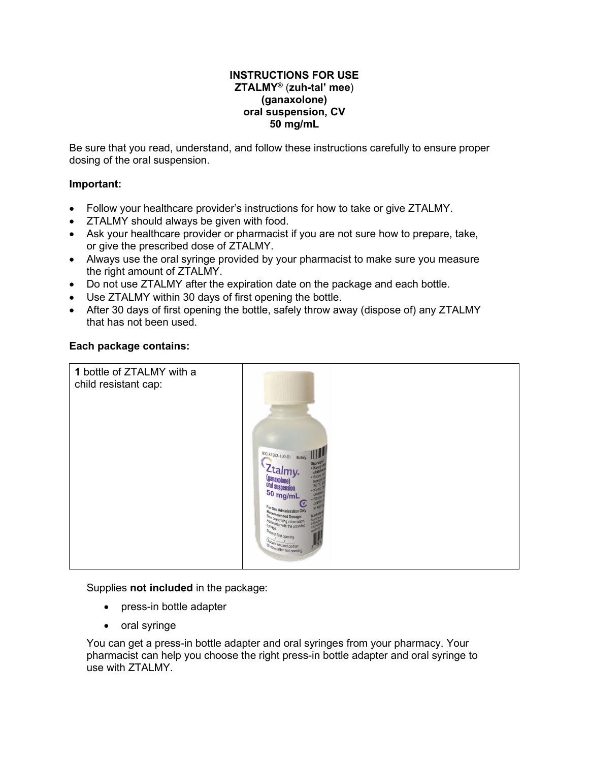## **INSTRUCTIONS FOR USE ZTALMY®** (**zuh-tal' mee**) **(ganaxolone) oral suspension, CV 50 mg/mL**

Be sure that you read, understand, and follow these instructions carefully to ensure proper dosing of the oral suspension.

# **Important:**

- Follow your healthcare provider's instructions for how to take or give ZTALMY.
- ZTALMY should always be given with food.
- Ask your healthcare provider or pharmacist if you are not sure how to prepare, take, or give the prescribed dose of ZTALMY.
- Always use the oral syringe provided by your pharmacist to make sure you measure the right amount of ZTALMY.
- Do not use ZTALMY after the expiration date on the package and each bottle.
- Use ZTALMY within 30 days of first opening the bottle.
- After 30 days of first opening the bottle, safely throw away (dispose of) any ZTALMY that has not been used.

#### **Each package contains:**



Supplies **not included** in the package:

- press-in bottle adapter
- oral syringe

You can get a press-in bottle adapter and oral syringes from your pharmacy. Your pharmacist can help you choose the right press-in bottle adapter and oral syringe to use with ZTALMY.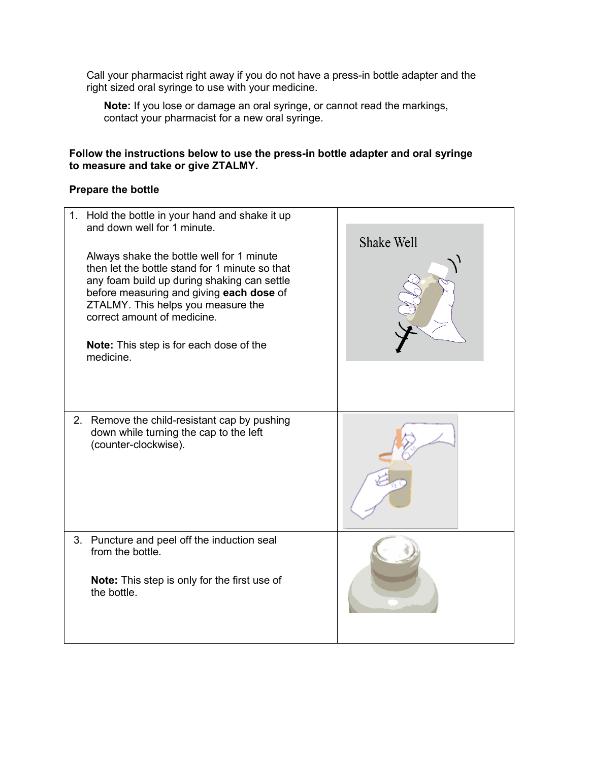Call your pharmacist right away if you do not have a press-in bottle adapter and the right sized oral syringe to use with your medicine.

**Note:** If you lose or damage an oral syringe, or cannot read the markings, contact your pharmacist for a new oral syringe.

# **Follow the instructions below to use the press-in bottle adapter and oral syringe to measure and take or give ZTALMY.**

# **Prepare the bottle**

| Hold the bottle in your hand and shake it up<br>$1_{\cdot}$<br>and down well for 1 minute.<br>Always shake the bottle well for 1 minute<br>then let the bottle stand for 1 minute so that<br>any foam build up during shaking can settle<br>before measuring and giving each dose of<br>ZTALMY. This helps you measure the<br>correct amount of medicine.<br><b>Note:</b> This step is for each dose of the<br>medicine. | Shake Well |
|--------------------------------------------------------------------------------------------------------------------------------------------------------------------------------------------------------------------------------------------------------------------------------------------------------------------------------------------------------------------------------------------------------------------------|------------|
| 2. Remove the child-resistant cap by pushing<br>down while turning the cap to the left<br>(counter-clockwise).                                                                                                                                                                                                                                                                                                           |            |
| 3. Puncture and peel off the induction seal<br>from the bottle.<br><b>Note:</b> This step is only for the first use of<br>the bottle.                                                                                                                                                                                                                                                                                    |            |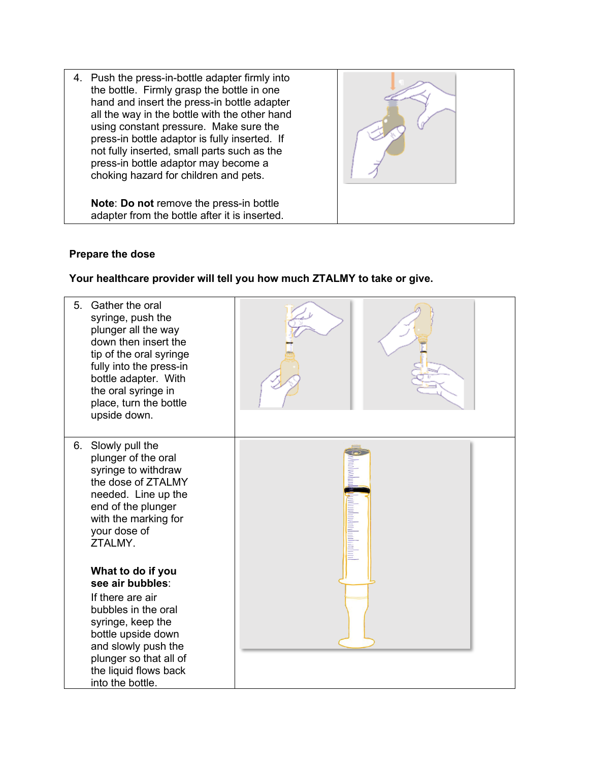4. Push the press-in-bottle adapter firmly into the bottle. Firmly grasp the bottle in one hand and insert the press-in bottle adapter all the way in the bottle with the other hand using constant pressure. Make sure the press-in bottle adaptor is fully inserted. If not fully inserted, small parts such as the press-in bottle adaptor may become a choking hazard for children and pets.

**Note**: **Do not** remove the press-in bottle adapter from the bottle after it is inserted.

# **Prepare the dose**

# **Your healthcare provider will tell you how much ZTALMY to take or give.**

| Gather the oral<br>5.<br>syringe, push the<br>plunger all the way<br>down then insert the<br>tip of the oral syringe<br>fully into the press-in<br>bottle adapter. With<br>the oral syringe in<br>place, turn the bottle<br>upside down. |  |
|------------------------------------------------------------------------------------------------------------------------------------------------------------------------------------------------------------------------------------------|--|
| Slowly pull the<br>6.<br>plunger of the oral<br>syringe to withdraw<br>the dose of ZTALMY<br>needed. Line up the<br>end of the plunger<br>with the marking for<br>your dose of<br>ZTALMY.                                                |  |
| What to do if you<br>see air bubbles:                                                                                                                                                                                                    |  |
| If there are air<br>bubbles in the oral<br>syringe, keep the                                                                                                                                                                             |  |
| bottle upside down<br>and slowly push the                                                                                                                                                                                                |  |
| plunger so that all of<br>the liquid flows back<br>into the bottle.                                                                                                                                                                      |  |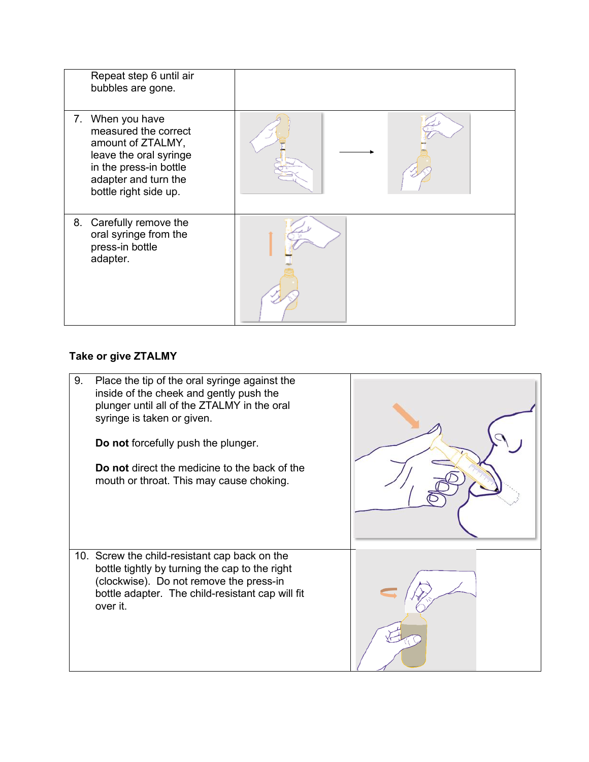| Repeat step 6 until air<br>bubbles are gone.                                                                                                                       |  |
|--------------------------------------------------------------------------------------------------------------------------------------------------------------------|--|
| 7. When you have<br>measured the correct<br>amount of ZTALMY,<br>leave the oral syringe<br>in the press-in bottle<br>adapter and turn the<br>bottle right side up. |  |
| Carefully remove the<br>8.<br>oral syringe from the<br>press-in bottle<br>adapter.                                                                                 |  |

# **Take or give ZTALMY**

| 9. | Place the tip of the oral syringe against the<br>inside of the cheek and gently push the<br>plunger until all of the ZTALMY in the oral<br>syringe is taken or given.<br><b>Do not</b> forcefully push the plunger.<br>Do not direct the medicine to the back of the<br>mouth or throat. This may cause choking. |  |
|----|------------------------------------------------------------------------------------------------------------------------------------------------------------------------------------------------------------------------------------------------------------------------------------------------------------------|--|
|    | 10. Screw the child-resistant cap back on the<br>bottle tightly by turning the cap to the right<br>(clockwise). Do not remove the press-in<br>bottle adapter. The child-resistant cap will fit<br>over it.                                                                                                       |  |